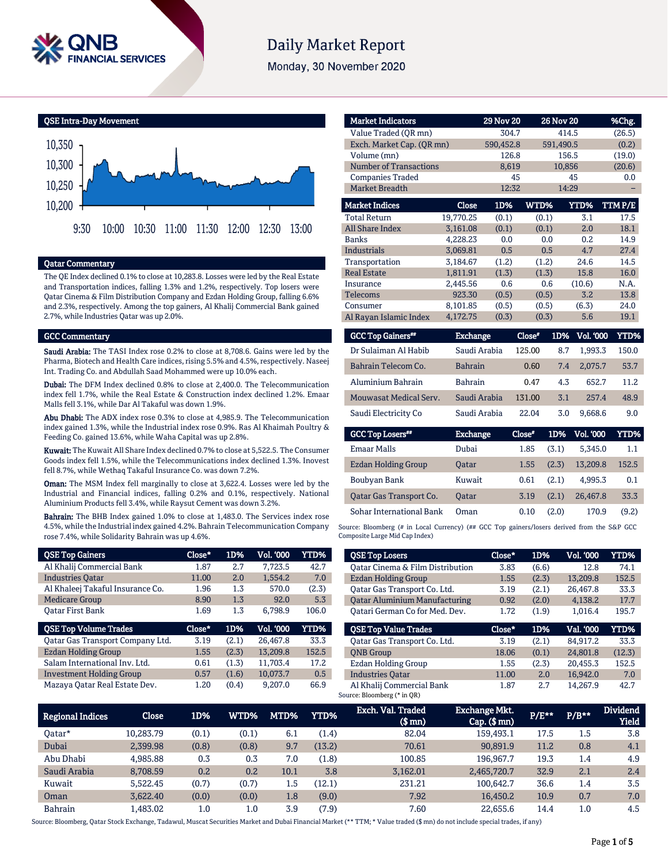

# **Daily Market Report**

Monday, 30 November 2020



### Qatar Commentary

The QE Index declined 0.1% to close at 10,283.8. Losses were led by the Real Estate and Transportation indices, falling 1.3% and 1.2%, respectively. Top losers were Qatar Cinema & Film Distribution Company and Ezdan Holding Group, falling 6.6% and 2.3%, respectively. Among the top gainers, Al Khalij Commercial Bank gained 2.7%, while Industries Qatar was up 2.0%.

### GCC Commentary

Saudi Arabia: The TASI Index rose 0.2% to close at 8,708.6. Gains were led by the Pharma, Biotech and Health Care indices, rising 5.5% and 4.5%, respectively. Naseej Int. Trading Co. and Abdullah Saad Mohammed were up 10.0% each.

Dubai: The DFM Index declined 0.8% to close at 2,400.0. The Telecommunication index fell 1.7%, while the Real Estate & Construction index declined 1.2%. Emaar Malls fell 3.1%, while Dar Al Takaful was down 1.9%.

Abu Dhabi: The ADX index rose 0.3% to close at 4,985.9. The Telecommunication index gained 1.3%, while the Industrial index rose 0.9%. Ras Al Khaimah Poultry & Feeding Co. gained 13.6%, while Waha Capital was up 2.8%.

Kuwait: The Kuwait All Share Index declined 0.7% to close at 5,522.5. The Consumer Goods index fell 1.5%, while the Telecommunications index declined 1.3%. Inovest fell 8.7%, while Wethaq Takaful Insurance Co. was down 7.2%.

Oman: The MSM Index fell marginally to close at 3,622.4. Losses were led by the Industrial and Financial indices, falling 0.2% and 0.1%, respectively. National Aluminium Products fell 3.4%, while Raysut Cement was down 3.2%.

Bahrain: The BHB Index gained 1.0% to close at 1,483.0. The Services index rose 4.5%, while the Industrial index gained 4.2%. Bahrain Telecommunication Company rose 7.4%, while Solidarity Bahrain was up 4.6%.

| <b>QSE Top Gainers</b>           | Close* | 1D%   | Vol. '000 | <b>YTD%</b> |
|----------------------------------|--------|-------|-----------|-------------|
| Al Khalij Commercial Bank        | 1.87   | 2.7   | 7.723.5   | 42.7        |
| <b>Industries Oatar</b>          | 11.00  | 2.0   | 1.554.2   | 7.0         |
| Al Khaleej Takaful Insurance Co. | 1.96   | 1.3   | 570.0     | (2.3)       |
| <b>Medicare Group</b>            | 8.90   | 1.3   | 92.0      | 5.3         |
| <b>Oatar First Bank</b>          | 1.69   | 1.3   | 6.798.9   | 106.0       |
|                                  |        |       |           |             |
| <b>QSE Top Volume Trades</b>     | Close* | 1D%   | Vol. '000 | YTD%        |
| Qatar Gas Transport Company Ltd. | 3.19   | (2.1) | 26,467.8  | 33.3        |
| <b>Ezdan Holding Group</b>       | 1.55   | (2.3) | 13,209.8  | 152.5       |
| Salam International Inv. Ltd.    | 0.61   | (1.3) | 11.703.4  | 17.2        |
| <b>Investment Holding Group</b>  | 0.57   | (1.6) | 10.073.7  | 0.5         |

| <b>Market Indicators</b>             |                 | <b>29 Nov 20</b> |        | <b>26 Nov 20</b>        | %Chg.       |
|--------------------------------------|-----------------|------------------|--------|-------------------------|-------------|
| Value Traded (OR mn)                 |                 | 304.7            |        | 414.5                   | (26.5)      |
| Exch. Market Cap. (QR mn)            |                 | 590,452.8        |        | 591.490.5               | (0.2)       |
| Volume (mn)                          |                 | 126.8            |        | 156.5                   | (19.0)      |
| <b>Number of Transactions</b>        | 8,619           |                  | 10,856 | (20.6)                  |             |
| <b>Companies Traded</b>              |                 | 45               |        | 45                      | 0.0         |
| <b>Market Breadth</b>                | 12:32           |                  | 14:29  |                         |             |
| <b>Market Indices</b>                | Close           | 1D%              | WTD%   | YTD%                    | TTMP/E      |
| <b>Total Return</b>                  | 19,770.25       | (0.1)            | (0.1)  | 3.1                     | 17.5        |
| <b>All Share Index</b>               | 3,161.08        | (0.1)            | (0.1)  | 2.0                     | 18.1        |
| <b>Banks</b>                         | 4,228.23        | 0.0              | 0.0    | 0.2                     | 14.9        |
| <b>Industrials</b>                   | 3,069.81        | 0.5              | 0.5    | 4.7                     | 27.4        |
| Transportation                       | 3,184.67        | (1.2)            | (1.2)  | 24.6                    | 14.5        |
| <b>Real Estate</b>                   | 1,811.91        | (1.3)            | (1.3)  | 15.8                    | 16.0        |
| Insurance                            | 2,445.56        | 0.6              | 0.6    | (10.6)                  | N.A.        |
| Telecoms                             | 923.30          | (0.5)            | (0.5)  | 3.2                     | 13.8        |
| Consumer                             | 8,101.85        | (0.5)            | (0.5)  | (6.3)                   | 24.0        |
| Al Rayan Islamic Index               | 4,172.75        | (0.3)            | (0.3)  | 5.6                     | 19.1        |
| <b>GCC Top Gainers</b> <sup>##</sup> | <b>Exchange</b> |                  | Close" | 1D%<br><b>Vol. '000</b> | <b>YTD%</b> |

| GCC Top Gamers"               | Exchange        | Close" | LD%   | VOL UUU          | Y I D% I |
|-------------------------------|-----------------|--------|-------|------------------|----------|
| Dr Sulaiman Al Habib          | Saudi Arabia    | 125.00 | 8.7   | 1.993.3          | 150.0    |
| Bahrain Telecom Co.           | <b>Bahrain</b>  | 0.60   | 7.4   | 2.075.7          | 53.7     |
| Aluminium Bahrain             | <b>Bahrain</b>  | 0.47   | 4.3   | 652.7            | 11.2     |
| <b>Mouwasat Medical Serv.</b> | Saudi Arabia    | 131.00 | 3.1   | 257.4            | 48.9     |
| Saudi Electricity Co          | Saudi Arabia    | 22.04  | 3.0   | 9.668.6          | 9.0      |
|                               |                 |        |       |                  |          |
|                               |                 |        |       |                  |          |
| <b>GCC Top Losers**</b>       | <b>Exchange</b> | Close* | 1D%   | <b>Vol. '000</b> | YTD%     |
| <b>Emaar Malls</b>            | Dubai           | 1.85   | (3.1) | 5.345.0          | 1.1      |
| Ezdan Holding Group           | <b>Oatar</b>    | 1.55   | (2.3) | 13,209.8         | 152.5    |
| Boubyan Bank                  | Kuwait          | 0.61   | (2.1) | 4.995.3          | 0.1      |

Source: Bloomberg (# in Local Currency) (## GCC Top gainers/losers derived from the S&P GCC Composite Large Mid Cap Index)

Sohar International Bank Oman 0.10 (2.0) 170.9 (9.2)

| <b>QSE Top Losers</b>                       | Close* | 1D%   | Vol. '000 | YTD%   |
|---------------------------------------------|--------|-------|-----------|--------|
| <b>Qatar Cinema &amp; Film Distribution</b> | 3.83   | (6.6) | 12.8      | 74.1   |
| Ezdan Holding Group                         | 1.55   | (2.3) | 13,209.8  | 152.5  |
| Qatar Gas Transport Co. Ltd.                | 3.19   | (2.1) | 26,467.8  | 33.3   |
| <b>Oatar Aluminium Manufacturing</b>        | 0.92   | (2.0) | 4.138.2   | 17.7   |
| Oatari German Co for Med. Dev.              | 1.72   | (1.9) | 1.016.4   | 195.7  |
| <b>OSE Top Value Trades</b>                 | Close* | 1D%   | Val. '000 | YTD%   |
| Oatar Gas Transport Co. Ltd.                |        |       | 84.917.2  |        |
|                                             | 3.19   | (2.1) |           | 33.3   |
| <b>ONB</b> Group                            | 18.06  | (0.1) | 24.801.8  | (12.3) |
| Ezdan Holding Group                         | 1.55   | (2.3) | 20.455.3  | 152.5  |
| <b>Industries Oatar</b>                     | 11.00  | 2.0   | 16.942.0  | 7.0    |

| <b>Regional Indices</b> | <b>Close</b> | 1D%   | <b>WTD%</b> | MTD%    | <b>YTD%</b> | Exch. Val. Traded<br>$$$ mn $)$ | <b>Exchange Mkt.</b><br>$Cap.$ (\$ $mn$ ) | $P/E***$ | $P/B**$ | <b>Dividend</b><br><b>Yield</b> |
|-------------------------|--------------|-------|-------------|---------|-------------|---------------------------------|-------------------------------------------|----------|---------|---------------------------------|
| Oatar*                  | 10.283.79    | (0.1) | (0.1)       | 6.1     | (1.4)       | 82.04                           | 159.493.1                                 | 17.5     | $1.5\,$ | 3.8                             |
| Dubai                   | 2,399.98     | (0.8) | (0.8)       | 9.7     | (13.2)      | 70.61                           | 90.891.9                                  | 11.2     | 0.8     | 4.1                             |
| Abu Dhabi               | 4.985.88     | 0.3   | 0.3         | 7.0     | (1.8)       | 100.85                          | 196.967.7                                 | 19.3     | 1.4     | 4.9                             |
| Saudi Arabia            | 8,708.59     | 0.2   | 0.2         | 10.1    | 3.8         | 3,162.01                        | 2,465,720.7                               | 32.9     | 2.1     | 2.4                             |
| Kuwait                  | 5.522.45     | (0.7) | (0.7)       | $1.5\,$ | (12.1)      | 231.21                          | 100.642.7                                 | 36.6     | 1.4     | 3.5                             |
| Oman                    | 3.622.40     | (0.0) | (0.0)       | 1.8     | (9.0)       | 7.92                            | 16.450.2                                  | 10.9     | 0.7     | 7.0                             |
| <b>Bahrain</b>          | 1,483.02     | 1.0   | $1.0\,$     | 3.9     | (7.9)       | 7.60                            | 22.655.6                                  | 14.4     | 1.0     | 4.5                             |

Source: Bloomberg, Qatar Stock Exchange, Tadawul, Muscat Securities Market and Dubai Financial Market (\*\* TTM; \* Value traded (\$ mn) do not include special trades, if any)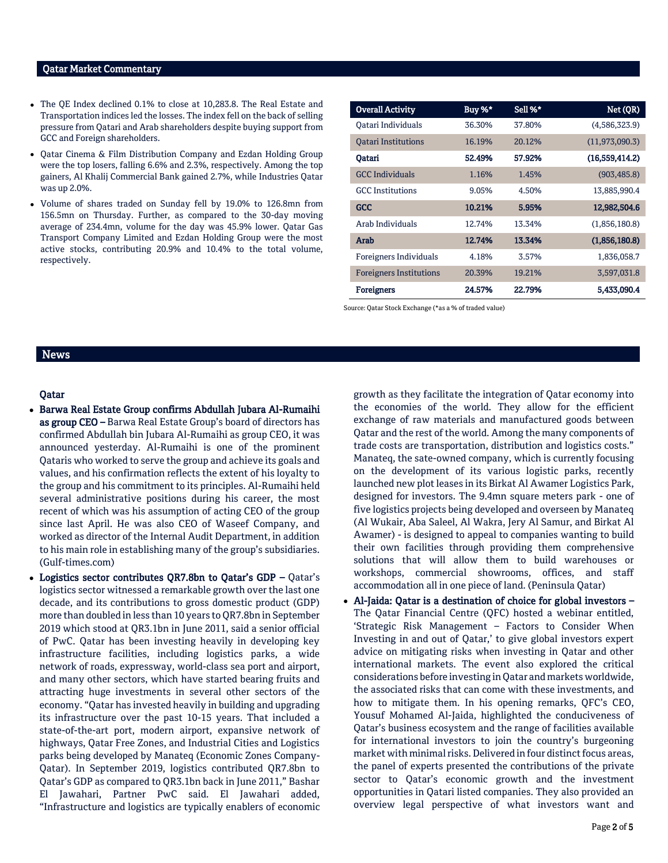### Qatar Market Commentary

- The QE Index declined 0.1% to close at 10,283.8. The Real Estate and Transportation indices led the losses. The index fell on the back of selling pressure from Qatari and Arab shareholders despite buying support from GCC and Foreign shareholders.
- Qatar Cinema & Film Distribution Company and Ezdan Holding Group were the top losers, falling 6.6% and 2.3%, respectively. Among the top gainers, Al Khalij Commercial Bank gained 2.7%, while Industries Qatar was up 2.0%.
- Volume of shares traded on Sunday fell by 19.0% to 126.8mn from 156.5mn on Thursday. Further, as compared to the 30-day moving average of 234.4mn, volume for the day was 45.9% lower. Qatar Gas Transport Company Limited and Ezdan Holding Group were the most active stocks, contributing 20.9% and 10.4% to the total volume, respectively.

| <b>Overall Activity</b>        | Buy %* | Sell %* | Net (QR)         |
|--------------------------------|--------|---------|------------------|
| Oatari Individuals             | 36.30% | 37.80%  | (4,586,323.9)    |
| <b>Oatari Institutions</b>     | 16.19% | 20.12%  | (11, 973, 090.3) |
| Oatari                         | 52.49% | 57.92%  | (16,559,414.2)   |
| <b>GCC</b> Individuals         | 1.16%  | 1.45%   | (903, 485.8)     |
| <b>GCC</b> Institutions        | 9.05%  | 4.50%   | 13,885,990.4     |
| <b>GCC</b>                     | 10.21% | 5.95%   | 12,982,504.6     |
| Arab Individuals               | 12.74% | 13.34%  | (1,856,180.8)    |
| Arab                           | 12.74% | 13.34%  | (1,856,180.8)    |
| Foreigners Individuals         | 4.18%  | 3.57%   | 1,836,058.7      |
| <b>Foreigners Institutions</b> | 20.39% | 19.21%  | 3,597,031.8      |
| <b>Foreigners</b>              | 24.57% | 22.79%  | 5,433,090.4      |

Source: Qatar Stock Exchange (\*as a % of traded value)

### News

### Qatar

- Barwa Real Estate Group confirms Abdullah Jubara Al-Rumaihi as group CEO – Barwa Real Estate Group's board of directors has confirmed Abdullah bin Jubara Al-Rumaihi as group CEO, it was announced yesterday. Al-Rumaihi is one of the prominent Qataris who worked to serve the group and achieve its goals and values, and his confirmation reflects the extent of his loyalty to the group and his commitment to its principles. Al-Rumaihi held several administrative positions during his career, the most recent of which was his assumption of acting CEO of the group since last April. He was also CEO of Waseef Company, and worked as director of the Internal Audit Department, in addition to his main role in establishing many of the group's subsidiaries. (Gulf-times.com)
- Logistics sector contributes QR7.8bn to Qatar's GDP Qatar's logistics sector witnessed a remarkable growth over the last one decade, and its contributions to gross domestic product (GDP) more than doubled in less than 10 years to QR7.8bn in September 2019 which stood at QR3.1bn in June 2011, said a senior official of PwC. Qatar has been investing heavily in developing key infrastructure facilities, including logistics parks, a wide network of roads, expressway, world-class sea port and airport, and many other sectors, which have started bearing fruits and attracting huge investments in several other sectors of the economy. "Qatar has invested heavily in building and upgrading its infrastructure over the past 10-15 years. That included a state-of-the-art port, modern airport, expansive network of highways, Qatar Free Zones, and Industrial Cities and Logistics parks being developed by Manateq (Economic Zones Company-Qatar). In September 2019, logistics contributed QR7.8bn to Qatar's GDP as compared to QR3.1bn back in June 2011," Bashar El Jawahari, Partner PwC said. El Jawahari added, "Infrastructure and logistics are typically enablers of economic

growth as they facilitate the integration of Qatar economy into the economies of the world. They allow for the efficient exchange of raw materials and manufactured goods between Qatar and the rest of the world. Among the many components of trade costs are transportation, distribution and logistics costs." Manateq, the sate-owned company, which is currently focusing on the development of its various logistic parks, recently launched new plot leases in its Birkat Al Awamer Logistics Park, designed for investors. The 9.4mn square meters park - one of five logistics projects being developed and overseen by Manateq (Al Wukair, Aba Saleel, Al Wakra, Jery Al Samur, and Birkat Al Awamer) - is designed to appeal to companies wanting to build their own facilities through providing them comprehensive solutions that will allow them to build warehouses or workshops, commercial showrooms, offices, and staff accommodation all in one piece of land. (Peninsula Qatar)

 Al-Jaida: Qatar is a destination of choice for global investors – The Qatar Financial Centre (QFC) hosted a webinar entitled, 'Strategic Risk Management – Factors to Consider When Investing in and out of Qatar,' to give global investors expert advice on mitigating risks when investing in Qatar and other international markets. The event also explored the critical considerations before investing in Qatar and markets worldwide, the associated risks that can come with these investments, and how to mitigate them. In his opening remarks, QFC's CEO, Yousuf Mohamed Al-Jaida, highlighted the conduciveness of Qatar's business ecosystem and the range of facilities available for international investors to join the country's burgeoning market with minimal risks. Delivered in four distinct focus areas, the panel of experts presented the contributions of the private sector to Qatar's economic growth and the investment opportunities in Qatari listed companies. They also provided an overview legal perspective of what investors want and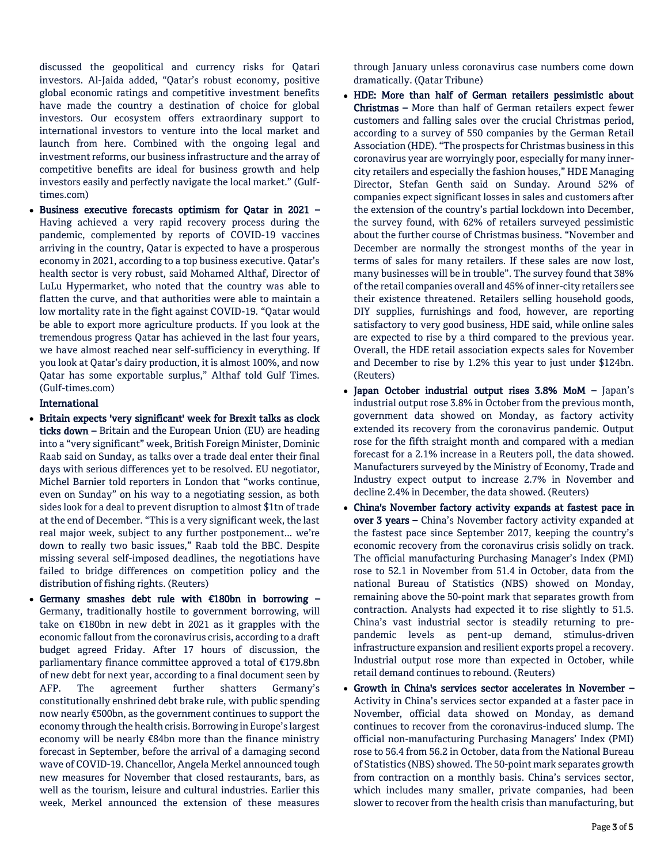discussed the geopolitical and currency risks for Qatari investors. Al-Jaida added, "Qatar's robust economy, positive global economic ratings and competitive investment benefits have made the country a destination of choice for global investors. Our ecosystem offers extraordinary support to international investors to venture into the local market and launch from here. Combined with the ongoing legal and investment reforms, our business infrastructure and the array of competitive benefits are ideal for business growth and help investors easily and perfectly navigate the local market." (Gulftimes.com)

 Business executive forecasts optimism for Qatar in 2021 – Having achieved a very rapid recovery process during the pandemic, complemented by reports of COVID-19 vaccines arriving in the country, Qatar is expected to have a prosperous economy in 2021, according to a top business executive. Qatar's health sector is very robust, said Mohamed Althaf, Director of LuLu Hypermarket, who noted that the country was able to flatten the curve, and that authorities were able to maintain a low mortality rate in the fight against COVID-19. "Qatar would be able to export more agriculture products. If you look at the tremendous progress Qatar has achieved in the last four years, we have almost reached near self-sufficiency in everything. If you look at Qatar's dairy production, it is almost 100%, and now Qatar has some exportable surplus," Althaf told Gulf Times. (Gulf-times.com)

### International

- Britain expects 'very significant' week for Brexit talks as clock ticks down – Britain and the European Union (EU) are heading into a "very significant" week, British Foreign Minister, Dominic Raab said on Sunday, as talks over a trade deal enter their final days with serious differences yet to be resolved. EU negotiator, Michel Barnier told reporters in London that "works continue, even on Sunday" on his way to a negotiating session, as both sides look for a deal to prevent disruption to almost \$1tn of trade at the end of December. "This is a very significant week, the last real major week, subject to any further postponement... we're down to really two basic issues," Raab told the BBC. Despite missing several self-imposed deadlines, the negotiations have failed to bridge differences on competition policy and the distribution of fishing rights. (Reuters)
- Germany smashes debt rule with €180bn in borrowing Germany, traditionally hostile to government borrowing, will take on €180bn in new debt in 2021 as it grapples with the economic fallout from the coronavirus crisis, according to a draft budget agreed Friday. After 17 hours of discussion, the parliamentary finance committee approved a total of €179.8bn of new debt for next year, according to a final document seen by AFP. The agreement further shatters Germany's constitutionally enshrined debt brake rule, with public spending now nearly €500bn, as the government continues to support the economy through the health crisis. Borrowing in Europe's largest economy will be nearly €84bn more than the finance ministry forecast in September, before the arrival of a damaging second wave of COVID-19. Chancellor, Angela Merkel announced tough new measures for November that closed restaurants, bars, as well as the tourism, leisure and cultural industries. Earlier this week, Merkel announced the extension of these measures

through January unless coronavirus case numbers come down dramatically. (Qatar Tribune)

- HDE: More than half of German retailers pessimistic about Christmas – More than half of German retailers expect fewer customers and falling sales over the crucial Christmas period, according to a survey of 550 companies by the German Retail Association (HDE). "The prospects for Christmas business in this coronavirus year are worryingly poor, especially for many innercity retailers and especially the fashion houses," HDE Managing Director, Stefan Genth said on Sunday. Around 52% of companies expect significant losses in sales and customers after the extension of the country's partial lockdown into December, the survey found, with 62% of retailers surveyed pessimistic about the further course of Christmas business. "November and December are normally the strongest months of the year in terms of sales for many retailers. If these sales are now lost, many businesses will be in trouble". The survey found that 38% of the retail companies overall and 45% of inner-city retailers see their existence threatened. Retailers selling household goods, DIY supplies, furnishings and food, however, are reporting satisfactory to very good business, HDE said, while online sales are expected to rise by a third compared to the previous year. Overall, the HDE retail association expects sales for November and December to rise by 1.2% this year to just under \$124bn. (Reuters)
- Japan October industrial output rises 3.8% MoM Japan's industrial output rose 3.8% in October from the previous month, government data showed on Monday, as factory activity extended its recovery from the coronavirus pandemic. Output rose for the fifth straight month and compared with a median forecast for a 2.1% increase in a Reuters poll, the data showed. Manufacturers surveyed by the Ministry of Economy, Trade and Industry expect output to increase 2.7% in November and decline 2.4% in December, the data showed. (Reuters)
- China's November factory activity expands at fastest pace in over 3 years – China's November factory activity expanded at the fastest pace since September 2017, keeping the country's economic recovery from the coronavirus crisis solidly on track. The official manufacturing Purchasing Manager's Index (PMI) rose to 52.1 in November from 51.4 in October, data from the national Bureau of Statistics (NBS) showed on Monday, remaining above the 50-point mark that separates growth from contraction. Analysts had expected it to rise slightly to 51.5. China's vast industrial sector is steadily returning to prepandemic levels as pent-up demand, stimulus-driven infrastructure expansion and resilient exports propel a recovery. Industrial output rose more than expected in October, while retail demand continues to rebound. (Reuters)
- Growth in China's services sector accelerates in November Activity in China's services sector expanded at a faster pace in November, official data showed on Monday, as demand continues to recover from the coronavirus-induced slump. The official non-manufacturing Purchasing Managers' Index (PMI) rose to 56.4 from 56.2 in October, data from the National Bureau of Statistics (NBS) showed. The 50-point mark separates growth from contraction on a monthly basis. China's services sector, which includes many smaller, private companies, had been slower to recover from the health crisis than manufacturing, but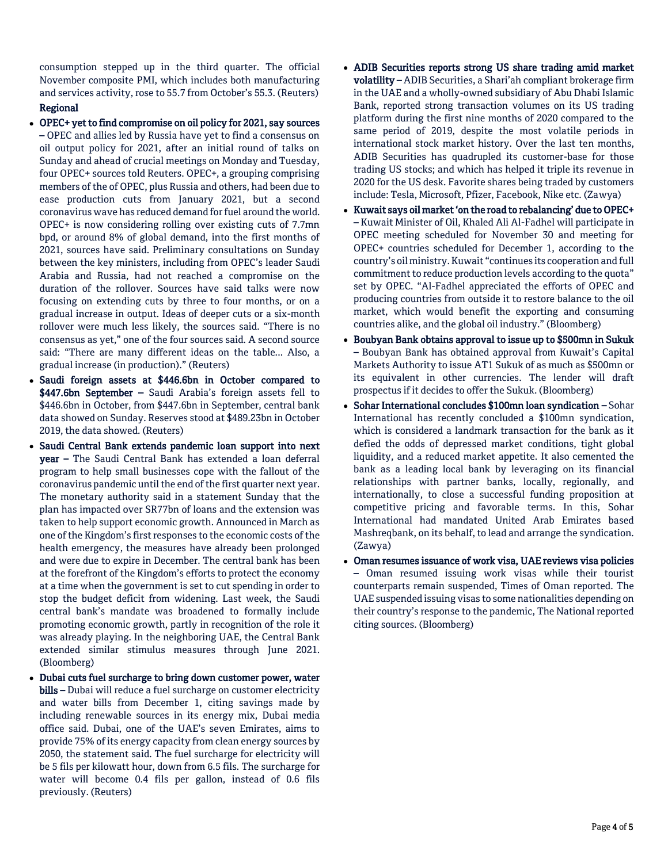consumption stepped up in the third quarter. The official November composite PMI, which includes both manufacturing and services activity, rose to 55.7 from October's 55.3. (Reuters) Regional

- OPEC+ yet to find compromise on oil policy for 2021, say sources – OPEC and allies led by Russia have yet to find a consensus on oil output policy for 2021, after an initial round of talks on Sunday and ahead of crucial meetings on Monday and Tuesday, four OPEC+ sources told Reuters. OPEC+, a grouping comprising members of the of OPEC, plus Russia and others, had been due to ease production cuts from January 2021, but a second coronavirus wave has reduced demand for fuel around the world. OPEC+ is now considering rolling over existing cuts of 7.7mn bpd, or around 8% of global demand, into the first months of 2021, sources have said. Preliminary consultations on Sunday between the key ministers, including from OPEC's leader Saudi Arabia and Russia, had not reached a compromise on the duration of the rollover. Sources have said talks were now focusing on extending cuts by three to four months, or on a gradual increase in output. Ideas of deeper cuts or a six-month rollover were much less likely, the sources said. "There is no consensus as yet," one of the four sources said. A second source said: "There are many different ideas on the table... Also, a gradual increase (in production)." (Reuters)
- Saudi foreign assets at \$446.6bn in October compared to \$447.6bn September - Saudi Arabia's foreign assets fell to \$446.6bn in October, from \$447.6bn in September, central bank data showed on Sunday. Reserves stood at \$489.23bn in October 2019, the data showed. (Reuters)
- Saudi Central Bank extends pandemic loan support into next year – The Saudi Central Bank has extended a loan deferral program to help small businesses cope with the fallout of the coronavirus pandemic until the end of the first quarter next year. The monetary authority said in a statement Sunday that the plan has impacted over SR77bn of loans and the extension was taken to help support economic growth. Announced in March as one of the Kingdom's first responses to the economic costs of the health emergency, the measures have already been prolonged and were due to expire in December. The central bank has been at the forefront of the Kingdom's efforts to protect the economy at a time when the government is set to cut spending in order to stop the budget deficit from widening. Last week, the Saudi central bank's mandate was broadened to formally include promoting economic growth, partly in recognition of the role it was already playing. In the neighboring UAE, the Central Bank extended similar stimulus measures through June 2021. (Bloomberg)
- Dubai cuts fuel surcharge to bring down customer power, water bills – Dubai will reduce a fuel surcharge on customer electricity and water bills from December 1, citing savings made by including renewable sources in its energy mix, Dubai media office said. Dubai, one of the UAE's seven Emirates, aims to provide 75% of its energy capacity from clean energy sources by 2050, the statement said. The fuel surcharge for electricity will be 5 fils per kilowatt hour, down from 6.5 fils. The surcharge for water will become 0.4 fils per gallon, instead of 0.6 fils previously. (Reuters)
- ADIB Securities reports strong US share trading amid market volatility – ADIB Securities, a Shari'ah compliant brokerage firm in the UAE and a wholly-owned subsidiary of Abu Dhabi Islamic Bank, reported strong transaction volumes on its US trading platform during the first nine months of 2020 compared to the same period of 2019, despite the most volatile periods in international stock market history. Over the last ten months, ADIB Securities has quadrupled its customer-base for those trading US stocks; and which has helped it triple its revenue in 2020 for the US desk. Favorite shares being traded by customers include: Tesla, Microsoft, Pfizer, Facebook, Nike etc. (Zawya)
- Kuwait says oil market 'on the road to rebalancing' due to OPEC+ – Kuwait Minister of Oil, Khaled Ali Al-Fadhel will participate in OPEC meeting scheduled for November 30 and meeting for OPEC+ countries scheduled for December 1, according to the country's oil ministry. Kuwait "continues its cooperation and full commitment to reduce production levels according to the quota" set by OPEC. "Al-Fadhel appreciated the efforts of OPEC and producing countries from outside it to restore balance to the oil market, which would benefit the exporting and consuming countries alike, and the global oil industry." (Bloomberg)
- Boubyan Bank obtains approval to issue up to \$500mn in Sukuk – Boubyan Bank has obtained approval from Kuwait's Capital Markets Authority to issue AT1 Sukuk of as much as \$500mn or its equivalent in other currencies. The lender will draft prospectus if it decides to offer the Sukuk. (Bloomberg)
- Sohar International concludes \$100mn loan syndication Sohar International has recently concluded a \$100mn syndication, which is considered a landmark transaction for the bank as it defied the odds of depressed market conditions, tight global liquidity, and a reduced market appetite. It also cemented the bank as a leading local bank by leveraging on its financial relationships with partner banks, locally, regionally, and internationally, to close a successful funding proposition at competitive pricing and favorable terms. In this, Sohar International had mandated United Arab Emirates based Mashreqbank, on its behalf, to lead and arrange the syndication. (Zawya)
- Oman resumes issuance of work visa, UAE reviews visa policies – Oman resumed issuing work visas while their tourist counterparts remain suspended, Times of Oman reported. The UAE suspended issuing visas to some nationalities depending on their country's response to the pandemic, The National reported citing sources. (Bloomberg)